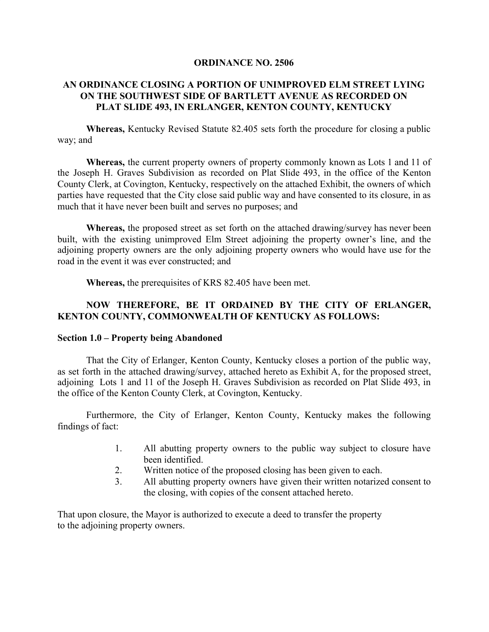#### **ORDINANCE NO. 2506**

### **AN ORDINANCE CLOSING A PORTION OF UNIMPROVED ELM STREET LYING ON THE SOUTHWEST SIDE OF BARTLETT AVENUE AS RECORDED ON PLAT SLIDE 493, IN ERLANGER, KENTON COUNTY, KENTUCKY**

**Whereas,** Kentucky Revised Statute 82.405 sets forth the procedure for closing a public way; and

**Whereas,** the current property owners of property commonly known as Lots 1 and 11 of the Joseph H. Graves Subdivision as recorded on Plat Slide 493, in the office of the Kenton County Clerk, at Covington, Kentucky, respectively on the attached Exhibit, the owners of which parties have requested that the City close said public way and have consented to its closure, in as much that it have never been built and serves no purposes; and

**Whereas,** the proposed street as set forth on the attached drawing/survey has never been built, with the existing unimproved Elm Street adjoining the property owner's line, and the adjoining property owners are the only adjoining property owners who would have use for the road in the event it was ever constructed; and

**Whereas,** the prerequisites of KRS 82.405 have been met.

# **NOW THEREFORE, BE IT ORDAINED BY THE CITY OF ERLANGER, KENTON COUNTY, COMMONWEALTH OF KENTUCKY AS FOLLOWS:**

#### **Section 1.0 – Property being Abandoned**

That the City of Erlanger, Kenton County, Kentucky closes a portion of the public way, as set forth in the attached drawing/survey, attached hereto as Exhibit A, for the proposed street, adjoining Lots 1 and 11 of the Joseph H. Graves Subdivision as recorded on Plat Slide 493, in the office of the Kenton County Clerk, at Covington, Kentucky.

Furthermore, the City of Erlanger, Kenton County, Kentucky makes the following findings of fact:

- 1. All abutting property owners to the public way subject to closure have been identified.
- 2. Written notice of the proposed closing has been given to each.
- 3. All abutting property owners have given their written notarized consent to the closing, with copies of the consent attached hereto.

That upon closure, the Mayor is authorized to execute a deed to transfer the property to the adjoining property owners.